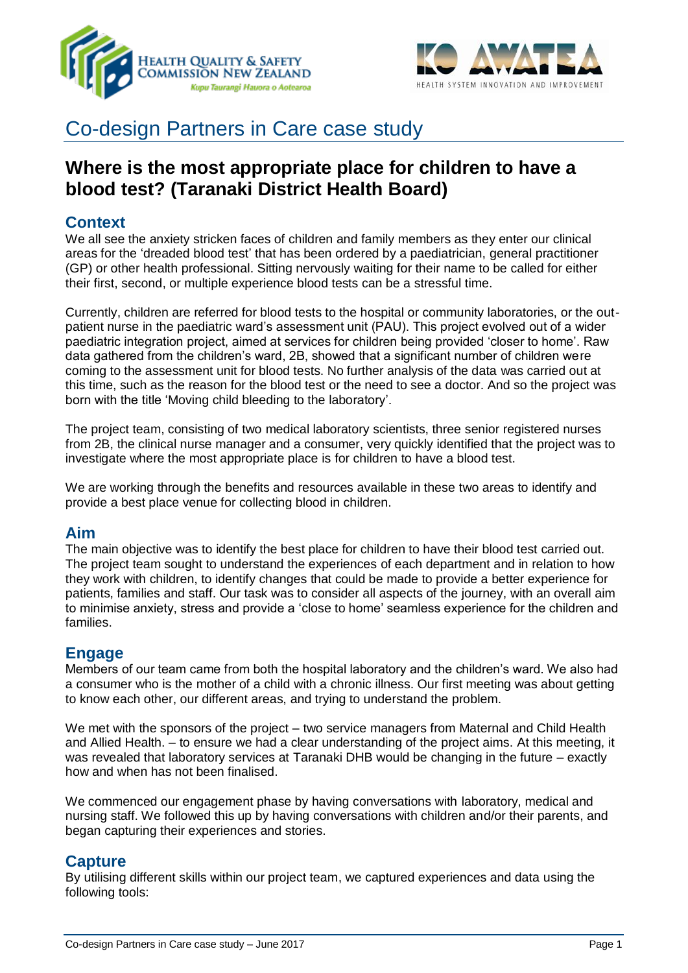



# Co-design Partners in Care case study

## **Where is the most appropriate place for children to have a blood test? (Taranaki District Health Board)**

## **Context**

We all see the anxiety stricken faces of children and family members as they enter our clinical areas for the 'dreaded blood test' that has been ordered by a paediatrician, general practitioner (GP) or other health professional. Sitting nervously waiting for their name to be called for either their first, second, or multiple experience blood tests can be a stressful time.

Currently, children are referred for blood tests to the hospital or community laboratories, or the outpatient nurse in the paediatric ward's assessment unit (PAU). This project evolved out of a wider paediatric integration project, aimed at services for children being provided 'closer to home'. Raw data gathered from the children's ward, 2B, showed that a significant number of children were coming to the assessment unit for blood tests. No further analysis of the data was carried out at this time, such as the reason for the blood test or the need to see a doctor. And so the project was born with the title 'Moving child bleeding to the laboratory'.

The project team, consisting of two medical laboratory scientists, three senior registered nurses from 2B, the clinical nurse manager and a consumer, very quickly identified that the project was to investigate where the most appropriate place is for children to have a blood test.

We are working through the benefits and resources available in these two areas to identify and provide a best place venue for collecting blood in children.

#### **Aim**

The main objective was to identify the best place for children to have their blood test carried out. The project team sought to understand the experiences of each department and in relation to how they work with children, to identify changes that could be made to provide a better experience for patients, families and staff. Our task was to consider all aspects of the journey, with an overall aim to minimise anxiety, stress and provide a 'close to home' seamless experience for the children and families.

## **Engage**

Members of our team came from both the hospital laboratory and the children's ward. We also had a consumer who is the mother of a child with a chronic illness. Our first meeting was about getting to know each other, our different areas, and trying to understand the problem.

We met with the sponsors of the project – two service managers from Maternal and Child Health and Allied Health. – to ensure we had a clear understanding of the project aims. At this meeting, it was revealed that laboratory services at Taranaki DHB would be changing in the future – exactly how and when has not been finalised.

We commenced our engagement phase by having conversations with laboratory, medical and nursing staff. We followed this up by having conversations with children and/or their parents, and began capturing their experiences and stories.

## **Capture**

By utilising different skills within our project team, we captured experiences and data using the following tools: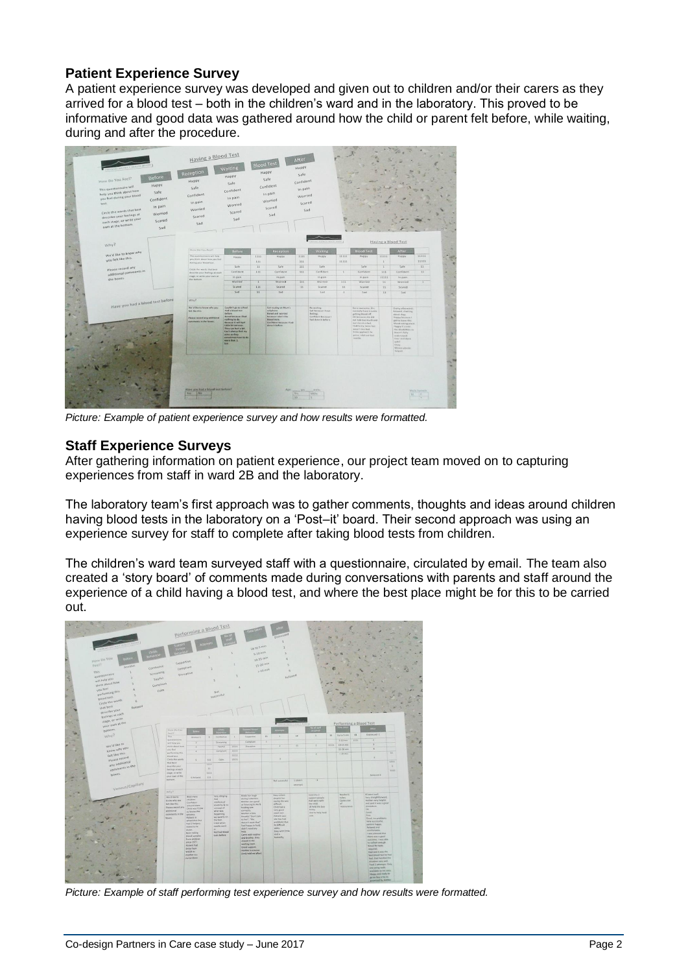## **Patient Experience Survey**

A patient experience survey was developed and given out to children and/or their carers as they arrived for a blood test – both in the children's ward and in the laboratory. This proved to be informative and good data was gathered around how the child or parent felt before, while waiting, during and after the procedure.



*Picture: Example of patient experience survey and how results were formatted.* 

#### **Staff Experience Surveys**

After gathering information on patient experience, our project team moved on to capturing experiences from staff in ward 2B and the laboratory.

The laboratory team's first approach was to gather comments, thoughts and ideas around children having blood tests in the laboratory on a 'Post–it' board. Their second approach was using an experience survey for staff to complete after taking blood tests from children.

The children's ward team surveyed staff with a questionnaire, circulated by email. The team also created a 'story board' of comments made during conversations with parents and staff around the experience of a child having a blood test, and where the best place might be for this to be carried out.



*Picture: Example of staff performing test experience survey and how results were formatted.*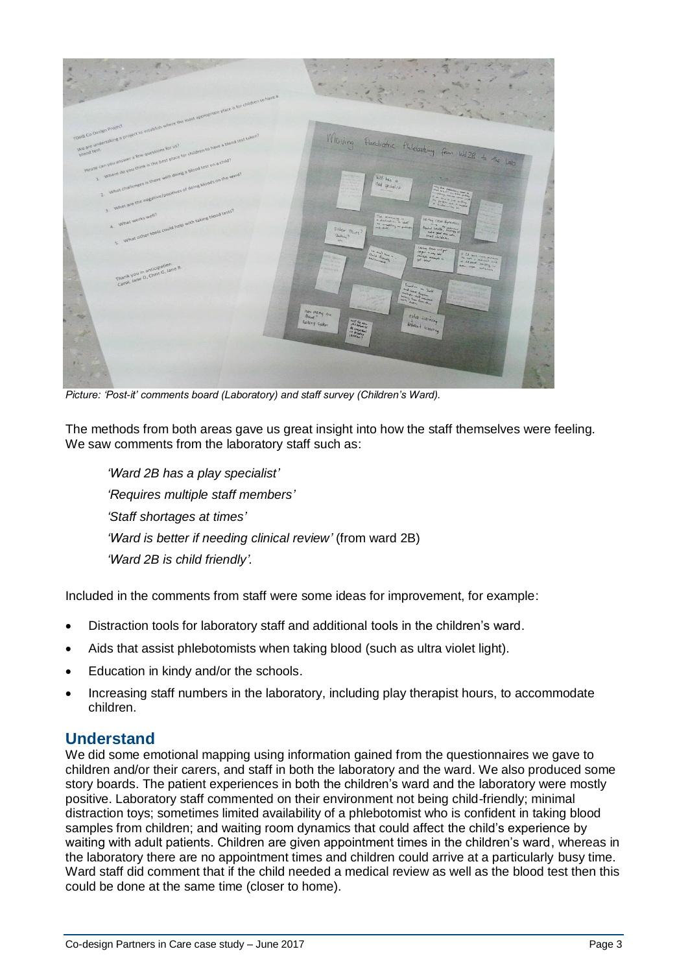

*Picture: 'Post-it' comments board (Laboratory) and staff survey (Children's Ward).*

The methods from both areas gave us great insight into how the staff themselves were feeling. We saw comments from the laboratory staff such as:

*'Ward 2B has a play specialist' 'Requires multiple staff members' 'Staff shortages at times' 'Ward is better if needing clinical review'* (from ward 2B) *'Ward 2B is child friendly'.* 

Included in the comments from staff were some ideas for improvement, for example:

- Distraction tools for laboratory staff and additional tools in the children's ward.
- Aids that assist phlebotomists when taking blood (such as ultra violet light).
- Education in kindy and/or the schools.
- Increasing staff numbers in the laboratory, including play therapist hours, to accommodate children.

## **Understand**

We did some emotional mapping using information gained from the questionnaires we gave to children and/or their carers, and staff in both the laboratory and the ward. We also produced some story boards. The patient experiences in both the children's ward and the laboratory were mostly positive. Laboratory staff commented on their environment not being child-friendly; minimal distraction toys; sometimes limited availability of a phlebotomist who is confident in taking blood samples from children; and waiting room dynamics that could affect the child's experience by waiting with adult patients. Children are given appointment times in the children's ward, whereas in the laboratory there are no appointment times and children could arrive at a particularly busy time. Ward staff did comment that if the child needed a medical review as well as the blood test then this could be done at the same time (closer to home).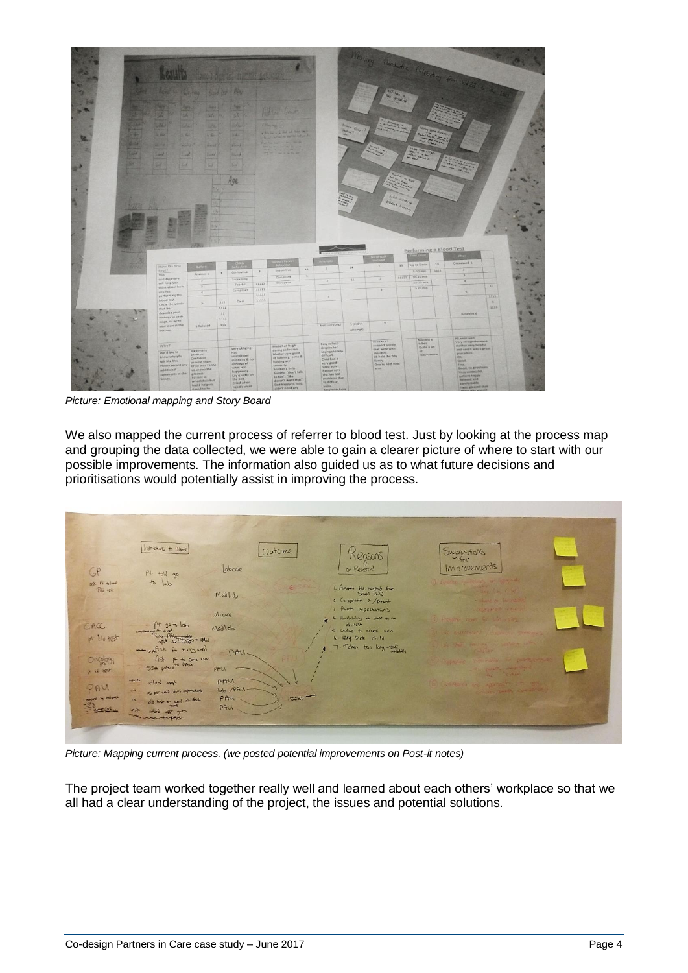| <b>Bland ora of Pietra</b><br><b>NEWS OF</b><br><b>Figure 7</b><br>أفالمك<br>25. 90<br>u.<br>Ste 20<br>œ<br>333<br>22<br><b>Collection</b><br>UX.<br><b>City Land</b><br>--<br>a distance in the set that they<br>÷<br>$\approx 100$<br>54<br><b>Killer</b><br>944<br>A or when it as to the other<br>سمد<br><b>CALIFORNIA COMPANY</b><br>Gild !<br><b>Service</b> &<br>$145 - 40$<br><b>County</b><br>$p = 1$<br>HARTHAM<br>. .<br>car.<br><b>Lake</b><br>Smith.<br>Tours of<br><b>Smith</b><br>sı<br><b>GG</b><br>sa.<br><b>Side</b><br>u<br>. .<br>Age | Wholey Chichola Richard for Walk of the Con-<br><b>Bury</b><br>ويتعط | <b>Play forcialist</b>        |                         |                                                              |      |
|-----------------------------------------------------------------------------------------------------------------------------------------------------------------------------------------------------------------------------------------------------------------------------------------------------------------------------------------------------------------------------------------------------------------------------------------------------------------------------------------------------------------------------------------------------------|----------------------------------------------------------------------|-------------------------------|-------------------------|--------------------------------------------------------------|------|
|                                                                                                                                                                                                                                                                                                                                                                                                                                                                                                                                                           |                                                                      |                               |                         |                                                              |      |
|                                                                                                                                                                                                                                                                                                                                                                                                                                                                                                                                                           |                                                                      |                               |                         |                                                              |      |
|                                                                                                                                                                                                                                                                                                                                                                                                                                                                                                                                                           |                                                                      |                               |                         |                                                              |      |
|                                                                                                                                                                                                                                                                                                                                                                                                                                                                                                                                                           |                                                                      |                               |                         |                                                              |      |
|                                                                                                                                                                                                                                                                                                                                                                                                                                                                                                                                                           |                                                                      |                               |                         |                                                              |      |
|                                                                                                                                                                                                                                                                                                                                                                                                                                                                                                                                                           |                                                                      | evilla Liaining               |                         |                                                              |      |
|                                                                                                                                                                                                                                                                                                                                                                                                                                                                                                                                                           |                                                                      | Went Harring                  |                         |                                                              |      |
|                                                                                                                                                                                                                                                                                                                                                                                                                                                                                                                                                           |                                                                      |                               |                         |                                                              |      |
|                                                                                                                                                                                                                                                                                                                                                                                                                                                                                                                                                           |                                                                      |                               |                         |                                                              |      |
|                                                                                                                                                                                                                                                                                                                                                                                                                                                                                                                                                           |                                                                      |                               |                         |                                                              |      |
|                                                                                                                                                                                                                                                                                                                                                                                                                                                                                                                                                           |                                                                      |                               |                         |                                                              |      |
|                                                                                                                                                                                                                                                                                                                                                                                                                                                                                                                                                           |                                                                      |                               |                         |                                                              |      |
|                                                                                                                                                                                                                                                                                                                                                                                                                                                                                                                                                           |                                                                      |                               |                         | Alter                                                        |      |
|                                                                                                                                                                                                                                                                                                                                                                                                                                                                                                                                                           |                                                                      |                               | Performing a Blood Test |                                                              |      |
| iaddolo                                                                                                                                                                                                                                                                                                                                                                                                                                                                                                                                                   | usanin                                                               |                               | 3.3.                    | Distressed 1                                                 |      |
| How Do You<br><b>POST</b><br>$\mathbb{R}$<br>35<br>Feel?<br>Supportive                                                                                                                                                                                                                                                                                                                                                                                                                                                                                    | $\mathbb{Z}$<br>3.4                                                  | 11   VirtuSmin                | 1111                    | Ŧ                                                            |      |
| $\,$ 1 $\,$<br>Combative<br>$\lambda$<br>Anxieux 1<br>This.<br>T<br>Compliant.                                                                                                                                                                                                                                                                                                                                                                                                                                                                            | $\overline{a}$                                                       | 5-10 mm<br>10-15 min<br>11111 |                         | $\overline{\phantom{1}}$                                     |      |
| questionnaire<br>Screaming<br>Ŧ<br>$\overline{z}$<br><b>Disruptive</b><br>will help you<br>11111<br>Tearful                                                                                                                                                                                                                                                                                                                                                                                                                                               | 3.3                                                                  | 15-20 min                     |                         | $\overline{\mathbf{r}}$                                      |      |
| $\overline{\phantom{a}}$<br>think about how<br>11111<br>синране                                                                                                                                                                                                                                                                                                                                                                                                                                                                                           | $\mathbf{V}$                                                         | > 20 min                      |                         | $\overline{11}$<br>×.                                        |      |
| you feel<br>$\overline{4}$<br>11111<br>performing this<br>$\lambda$                                                                                                                                                                                                                                                                                                                                                                                                                                                                                       |                                                                      |                               |                         | $\overline{1111}$                                            |      |
| blood test<br>11111<br>calm<br>311<br>$\leq$<br>Circle the words                                                                                                                                                                                                                                                                                                                                                                                                                                                                                          |                                                                      |                               |                         | $\mathcal{K}$                                                |      |
| 1111<br>mat best                                                                                                                                                                                                                                                                                                                                                                                                                                                                                                                                          |                                                                      |                               |                         |                                                              | 1111 |
| describe your<br>11                                                                                                                                                                                                                                                                                                                                                                                                                                                                                                                                       |                                                                      |                               |                         | Balleved 6                                                   |      |
| feelings at each<br>1111<br>stage, or write                                                                                                                                                                                                                                                                                                                                                                                                                                                                                                               | $4^\circ$<br>1 ididn't                                               |                               |                         |                                                              |      |
| 111<br>Net autressful<br>your own at the<br>a Related<br>bottom                                                                                                                                                                                                                                                                                                                                                                                                                                                                                           | (Jomanue                                                             |                               |                         |                                                              |      |
|                                                                                                                                                                                                                                                                                                                                                                                                                                                                                                                                                           |                                                                      |                               |                         |                                                              |      |
|                                                                                                                                                                                                                                                                                                                                                                                                                                                                                                                                                           | Used the 3                                                           | Nov-ded b<br>tubes."          |                         | <b>REWARD</b><br>Vary straightforward.                       |      |
| Easy collect<br>Made her faugh<br>witry?<br>despite her<br>Very obliging<br>during collection.<br><b>Bled many</b><br>saying she was<br>ww d like to<br>skaid.<br>Mother very good                                                                                                                                                                                                                                                                                                                                                                        | support people<br>that were with<br>the child.                       | u                             | Quite a lot             | mather very holarty<br>and said it was a great<br>procedure. |      |

*Picture: Emotional mapping and Story Board*

We also mapped the current process of referrer to blood test. Just by looking at the process map and grouping the data collected, we were able to gain a clearer picture of where to start with our possible improvements. The information also guided us as to what future decisions and prioritisations would potentially assist in improving the process.

|                         | Marchard to Potent                                                                                                 | Dutcome                   |        | Reasons                                                                            | Suggestions                                                                                                                                                                                                                                                                                                                                                                                                        |  |
|-------------------------|--------------------------------------------------------------------------------------------------------------------|---------------------------|--------|------------------------------------------------------------------------------------|--------------------------------------------------------------------------------------------------------------------------------------------------------------------------------------------------------------------------------------------------------------------------------------------------------------------------------------------------------------------------------------------------------------------|--|
| GP<br>ask it the        | $P+$ told go<br>to $ ab $                                                                                          | Labcare                   |        | on-Reterral                                                                        | Improvements                                                                                                                                                                                                                                                                                                                                                                                                       |  |
| $B11$ tot               |                                                                                                                    | Medlab                    |        | 1. Amount ble reeded from<br>2 Co-existin pt / persont.<br>3. Parots expectations. | $\frac{1}{2} \frac{1}{2} \frac{1}{2} \frac{1}{2} \frac{1}{2} \frac{1}{2} \frac{1}{2} \frac{1}{2} \frac{1}{2} \frac{1}{2} \frac{1}{2} \frac{1}{2} \frac{1}{2} \frac{1}{2} \frac{1}{2} \frac{1}{2} \frac{1}{2} \frac{1}{2} \frac{1}{2} \frac{1}{2} \frac{1}{2} \frac{1}{2} \frac{1}{2} \frac{1}{2} \frac{1}{2} \frac{1}{2} \frac{1}{2} \frac{1}{2} \frac{1}{2} \frac{1}{2} \frac{1}{2} \frac{$<br>- USANC OF THE CO. |  |
| CAC                     |                                                                                                                    | lab care<br>Medlab        |        | 4 Amilability & that to be<br>$100.105 +$<br>s undde to access ven                 |                                                                                                                                                                                                                                                                                                                                                                                                                    |  |
| pt bld test<br>Oncelogy | come of the state & Mu<br>mangafisk private                                                                        | PAU.                      |        | 6. Very sick child<br>7. Taken too long-staff                                      |                                                                                                                                                                                                                                                                                                                                                                                                                    |  |
| o w tex                 | Ask pt to come now<br>SSH protocol to PAM<br>sales.<br>attend appt.                                                | PAU<br>PAU                |        |                                                                                    | LA GREEK CALL                                                                                                                                                                                                                                                                                                                                                                                                      |  |
| PAU                     | as per uned dat's represents.<br>444<br>bld. to+ on wants at that.<br>40.<br>$-10$<br>who app you<br>nomga-to-pool | lab / PAU.<br>PAU<br>PAUL | $-200$ |                                                                                    |                                                                                                                                                                                                                                                                                                                                                                                                                    |  |

*Picture: Mapping current process. (we posted potential improvements on Post-it notes)*

The project team worked together really well and learned about each others' workplace so that we all had a clear understanding of the project, the issues and potential solutions.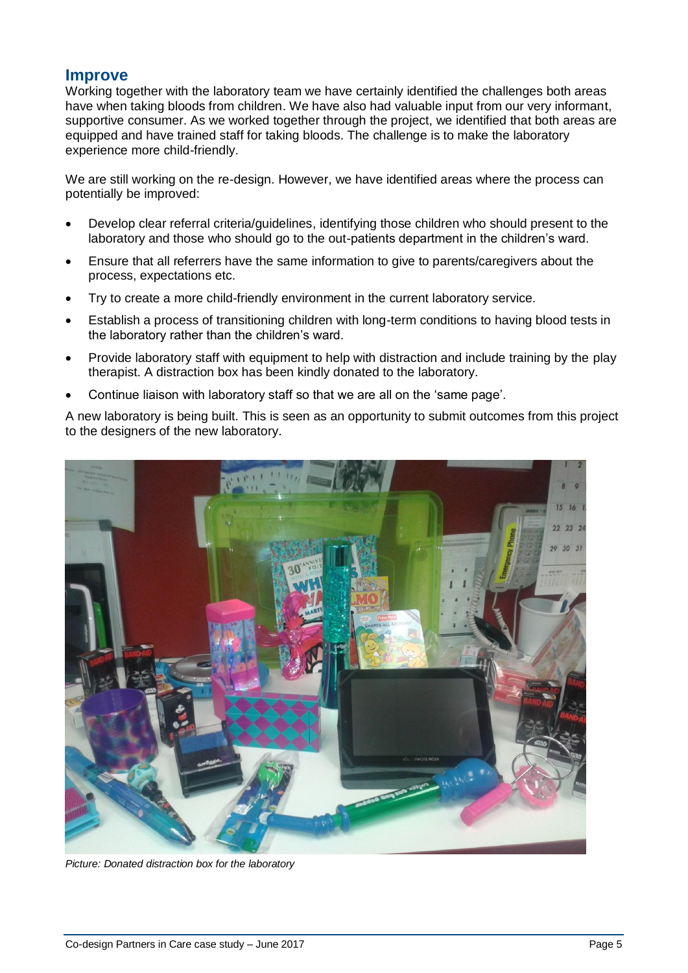## **Improve**

Working together with the laboratory team we have certainly identified the challenges both areas have when taking bloods from children. We have also had valuable input from our very informant, supportive consumer. As we worked together through the project, we identified that both areas are equipped and have trained staff for taking bloods. The challenge is to make the laboratory experience more child-friendly.

We are still working on the re-design. However, we have identified areas where the process can potentially be improved:

- Develop clear referral criteria/guidelines, identifying those children who should present to the laboratory and those who should go to the out-patients department in the children's ward.
- Ensure that all referrers have the same information to give to parents/caregivers about the process, expectations etc.
- Try to create a more child-friendly environment in the current laboratory service.
- Establish a process of transitioning children with long-term conditions to having blood tests in the laboratory rather than the children's ward.
- Provide laboratory staff with equipment to help with distraction and include training by the play therapist. A distraction box has been kindly donated to the laboratory.
- Continue liaison with laboratory staff so that we are all on the 'same page'.

A new laboratory is being built. This is seen as an opportunity to submit outcomes from this project to the designers of the new laboratory.



*Picture: Donated distraction box for the laboratory*